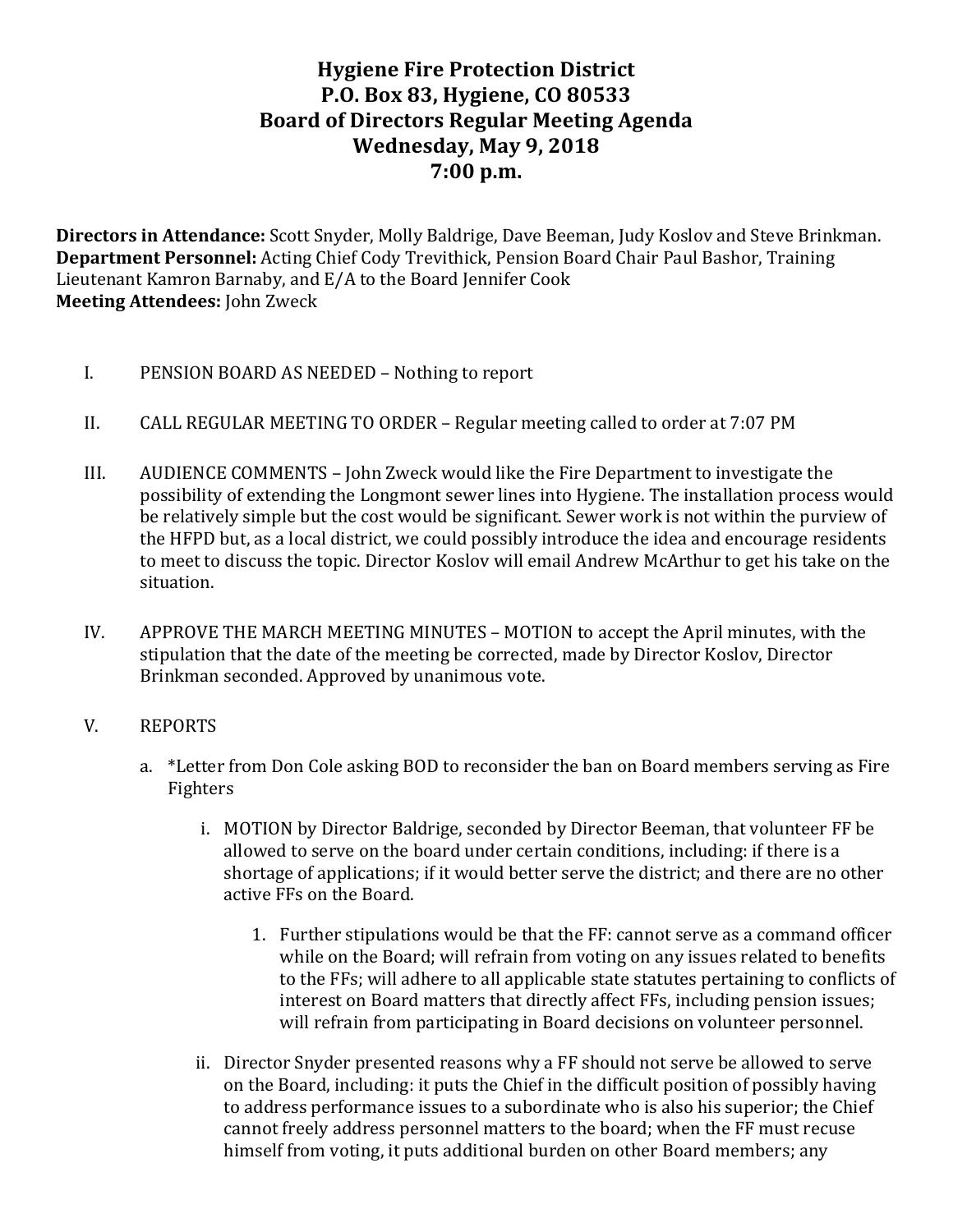# **Hygiene Fire Protection District P.O. Box 83, Hygiene, CO 80533 Board of Directors Regular Meeting Agenda** Wednesday, May 9, 2018 **7:00 p.m.**

**Directors in Attendance:** Scott Snyder, Molly Baldrige, Dave Beeman, Judy Koslov and Steve Brinkman. **Department Personnel:** Acting Chief Cody Trevithick, Pension Board Chair Paul Bashor, Training Lieutenant Kamron Barnaby, and E/A to the Board Jennifer Cook **Meeting Attendees:** John Zweck

- I. PENSION BOARD AS NEEDED Nothing to report
- II. CALL REGULAR MEETING TO ORDER Regular meeting called to order at 7:07 PM
- III.  $\blacksquare$  AUDIENCE COMMENTS John Zweck would like the Fire Department to investigate the possibility of extending the Longmont sewer lines into Hygiene. The installation process would be relatively simple but the cost would be significant. Sewer work is not within the purview of the HFPD but, as a local district, we could possibly introduce the idea and encourage residents to meet to discuss the topic. Director Koslov will email Andrew McArthur to get his take on the situation.
- IV. APPROVE THE MARCH MEETING MINUTES MOTION to accept the April minutes, with the stipulation that the date of the meeting be corrected, made by Director Koslov, Director Brinkman seconded. Approved by unanimous vote.
- V. REPORTS
	- a. \*Letter from Don Cole asking BOD to reconsider the ban on Board members serving as Fire Fighters
		- i. MOTION by Director Baldrige, seconded by Director Beeman, that volunteer FF be allowed to serve on the board under certain conditions, including: if there is a shortage of applications; if it would better serve the district; and there are no other active FFs on the Board.
			- 1. Further stipulations would be that the FF: cannot serve as a command officer while on the Board; will refrain from voting on any issues related to benefits to the FFs; will adhere to all applicable state statutes pertaining to conflicts of interest on Board matters that directly affect FFs, including pension issues; will refrain from participating in Board decisions on volunteer personnel.
		- ii. Director Snyder presented reasons why a FF should not serve be allowed to serve on the Board, including: it puts the Chief in the difficult position of possibly having to address performance issues to a subordinate who is also his superior; the Chief cannot freely address personnel matters to the board; when the FF must recuse himself from voting, it puts additional burden on other Board members; any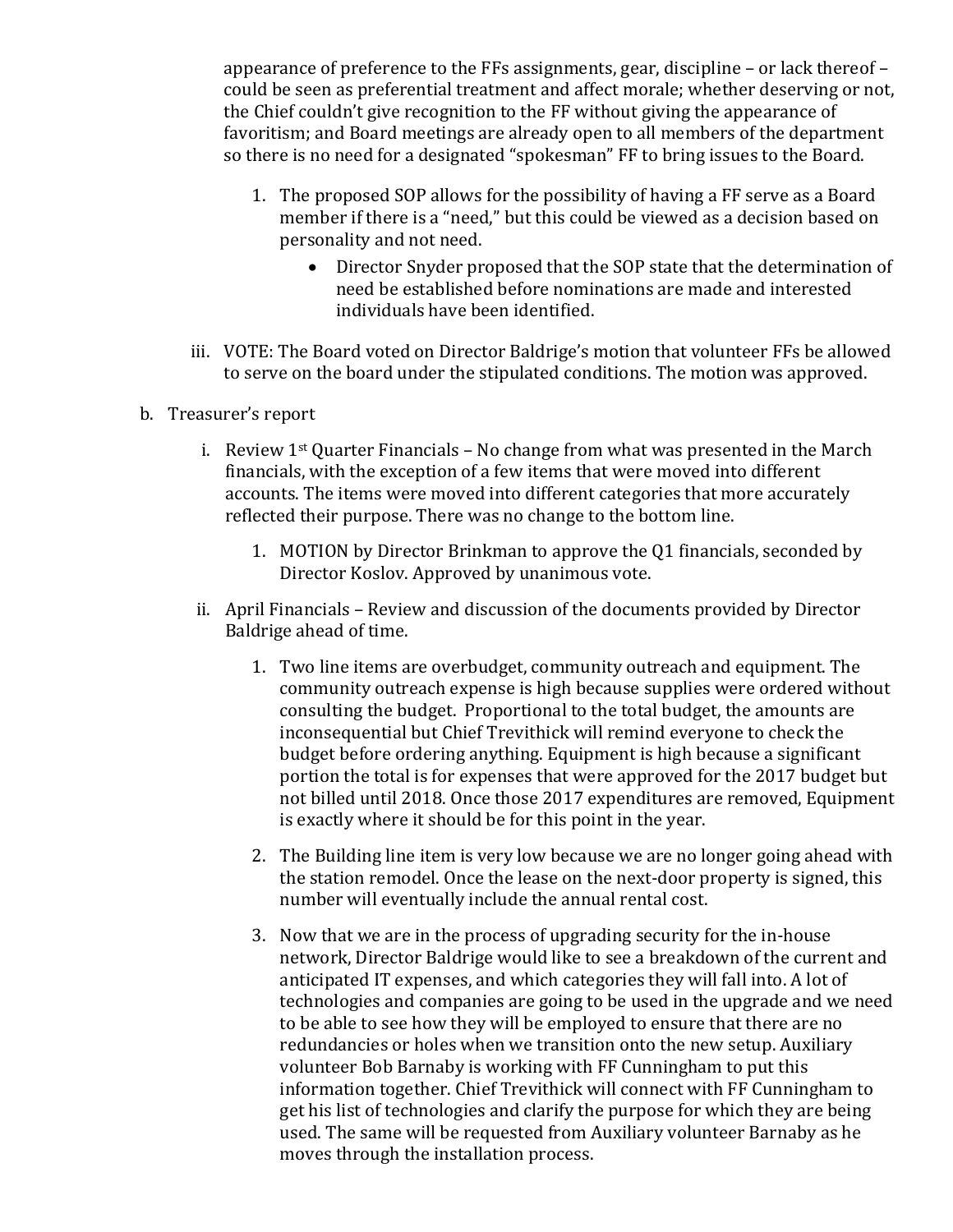appearance of preference to the FFs assignments, gear, discipline  $-$  or lack thereof  $$ could be seen as preferential treatment and affect morale; whether deserving or not, the Chief couldn't give recognition to the FF without giving the appearance of favoritism; and Board meetings are already open to all members of the department so there is no need for a designated "spokesman" FF to bring issues to the Board.

- 1. The proposed SOP allows for the possibility of having a FF serve as a Board member if there is a "need," but this could be viewed as a decision based on personality and not need.
	- Director Snyder proposed that the SOP state that the determination of need be established before nominations are made and interested individuals have been identified.
- iii. VOTE: The Board voted on Director Baldrige's motion that volunteer FFs be allowed to serve on the board under the stipulated conditions. The motion was approved.
- b. Treasurer's report
	- i. Review  $1^{st}$  Quarter Financials No change from what was presented in the March financials, with the exception of a few items that were moved into different accounts. The items were moved into different categories that more accurately reflected their purpose. There was no change to the bottom line.
		- 1. MOTION by Director Brinkman to approve the Q1 financials, seconded by Director Koslov. Approved by unanimous vote.
	- ii. April Financials Review and discussion of the documents provided by Director Baldrige ahead of time.
		- 1. Two line items are overbudget, community outreach and equipment. The community outreach expense is high because supplies were ordered without consulting the budget. Proportional to the total budget, the amounts are inconsequential but Chief Trevithick will remind everyone to check the budget before ordering anything. Equipment is high because a significant portion the total is for expenses that were approved for the 2017 budget but not billed until 2018. Once those 2017 expenditures are removed, Equipment is exactly where it should be for this point in the year.
		- 2. The Building line item is very low because we are no longer going ahead with the station remodel. Once the lease on the next-door property is signed, this number will eventually include the annual rental cost.
		- 3. Now that we are in the process of upgrading security for the in-house network, Director Baldrige would like to see a breakdown of the current and anticipated IT expenses, and which categories they will fall into. A lot of technologies and companies are going to be used in the upgrade and we need to be able to see how they will be employed to ensure that there are no redundancies or holes when we transition onto the new setup. Auxiliary volunteer Bob Barnaby is working with FF Cunningham to put this information together. Chief Trevithick will connect with FF Cunningham to get his list of technologies and clarify the purpose for which they are being used. The same will be requested from Auxiliary volunteer Barnaby as he moves through the installation process.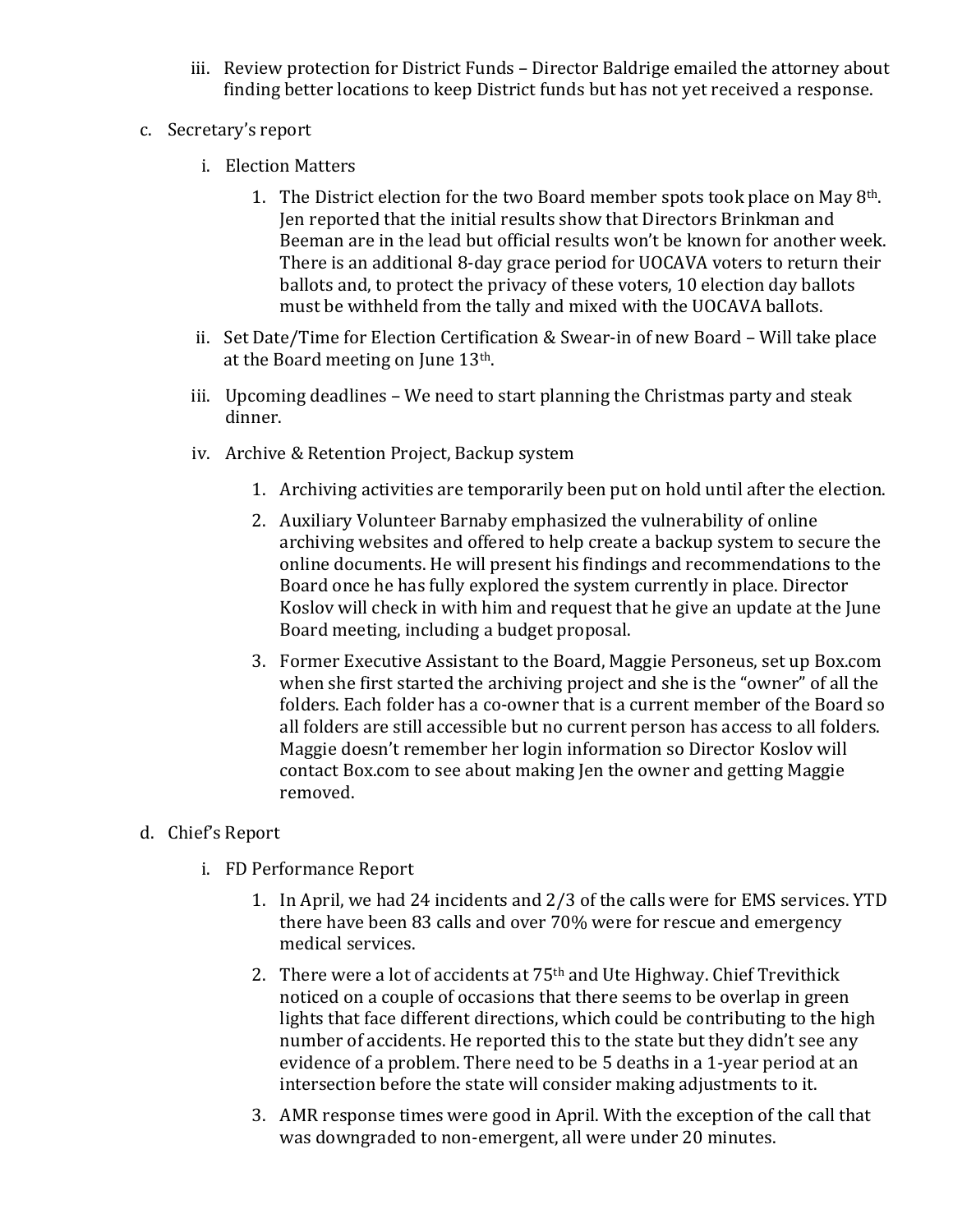- iii. Review protection for District Funds Director Baldrige emailed the attorney about finding better locations to keep District funds but has not yet received a response.
- c. Secretary's report
	- i. Election Matters
		- 1. The District election for the two Board member spots took place on May  $8<sup>th</sup>$ . Jen reported that the initial results show that Directors Brinkman and Beeman are in the lead but official results won't be known for another week. There is an additional 8-day grace period for UOCAVA voters to return their ballots and, to protect the privacy of these voters, 10 election day ballots must be withheld from the tally and mixed with the UOCAVA ballots.
	- ii. Set Date/Time for Election Certification & Swear-in of new Board Will take place at the Board meeting on June  $13<sup>th</sup>$ .
	- iii. Upcoming deadlines  $-$  We need to start planning the Christmas party and steak dinner.
	- iv. Archive & Retention Project, Backup system
		- 1. Archiving activities are temporarily been put on hold until after the election.
		- 2. Auxiliary Volunteer Barnaby emphasized the vulnerability of online archiving websites and offered to help create a backup system to secure the online documents. He will present his findings and recommendations to the Board once he has fully explored the system currently in place. Director Koslov will check in with him and request that he give an update at the June Board meeting, including a budget proposal.
		- 3. Former Executive Assistant to the Board, Maggie Personeus, set up Box.com when she first started the archiving project and she is the "owner" of all the folders. Each folder has a co-owner that is a current member of the Board so all folders are still accessible but no current person has access to all folders. Maggie doesn't remember her login information so Director Koslov will contact Box.com to see about making Jen the owner and getting Maggie removed.

### d. Chief's Report

- i. FD Performance Report
	- 1. In April, we had 24 incidents and 2/3 of the calls were for EMS services. YTD there have been 83 calls and over 70% were for rescue and emergency medical services.
	- 2. There were a lot of accidents at  $75<sup>th</sup>$  and Ute Highway. Chief Trevithick noticed on a couple of occasions that there seems to be overlap in green lights that face different directions, which could be contributing to the high number of accidents. He reported this to the state but they didn't see any evidence of a problem. There need to be 5 deaths in a 1-year period at an intersection before the state will consider making adjustments to it.
	- 3. AMR response times were good in April. With the exception of the call that was downgraded to non-emergent, all were under 20 minutes.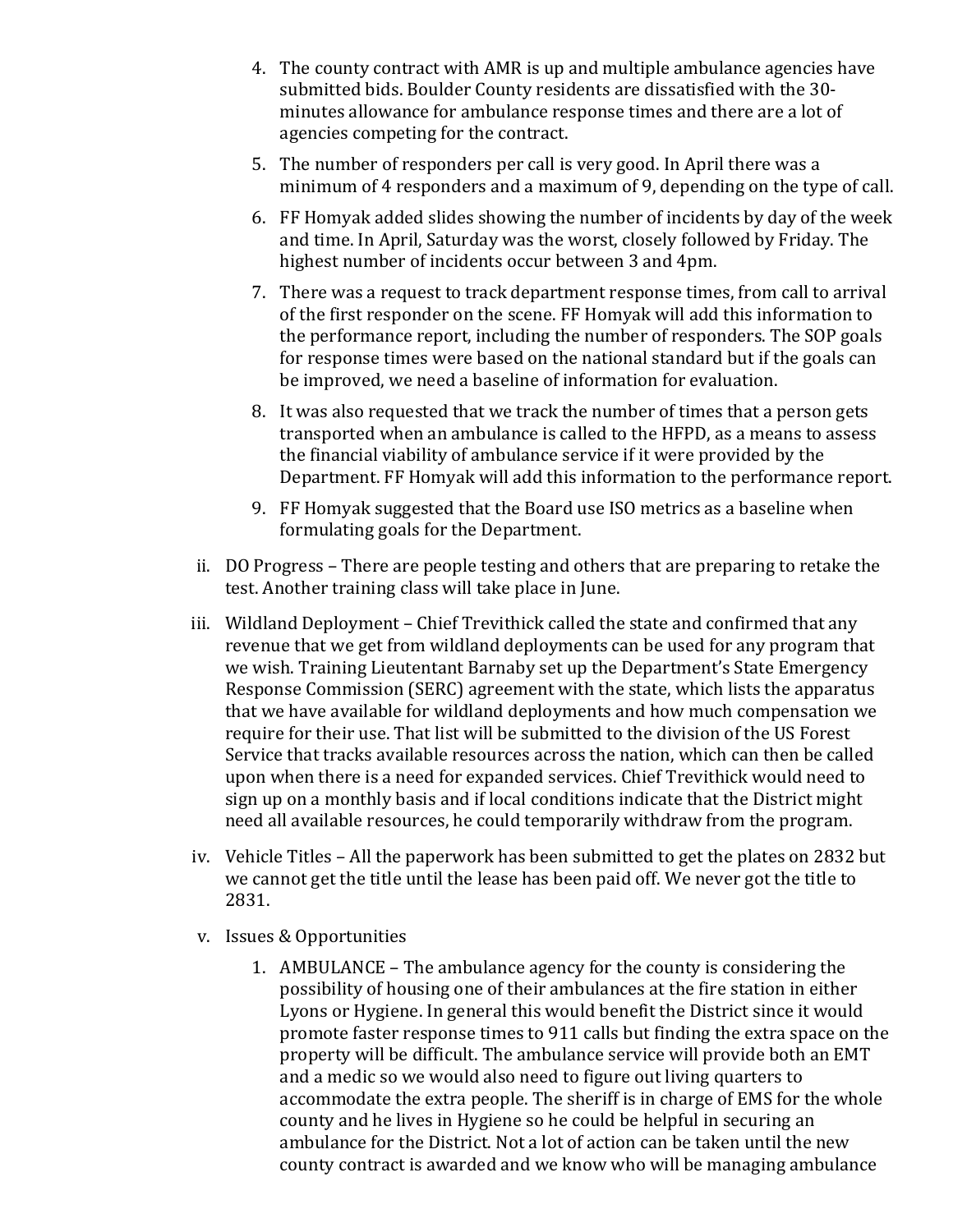- 4. The county contract with AMR is up and multiple ambulance agencies have submitted bids. Boulder County residents are dissatisfied with the 30minutes allowance for ambulance response times and there are a lot of agencies competing for the contract.
- 5. The number of responders per call is very good. In April there was a minimum of 4 responders and a maximum of 9, depending on the type of call.
- 6. FF Homyak added slides showing the number of incidents by day of the week and time. In April, Saturday was the worst, closely followed by Friday. The highest number of incidents occur between 3 and 4pm.
- 7. There was a request to track department response times, from call to arrival of the first responder on the scene. FF Homyak will add this information to the performance report, including the number of responders. The SOP goals for response times were based on the national standard but if the goals can be improved, we need a baseline of information for evaluation.
- 8. It was also requested that we track the number of times that a person gets transported when an ambulance is called to the HFPD, as a means to assess the financial viability of ambulance service if it were provided by the Department. FF Homyak will add this information to the performance report.
- 9. FF Homyak suggested that the Board use ISO metrics as a baseline when formulating goals for the Department.
- ii. DO Progress There are people testing and others that are preparing to retake the test. Another training class will take place in June.
- iii. Wildland Deployment Chief Trevithick called the state and confirmed that any revenue that we get from wildland deployments can be used for any program that we wish. Training Lieutentant Barnaby set up the Department's State Emergency Response Commission (SERC) agreement with the state, which lists the apparatus that we have available for wildland deployments and how much compensation we require for their use. That list will be submitted to the division of the US Forest Service that tracks available resources across the nation, which can then be called upon when there is a need for expanded services. Chief Trevithick would need to sign up on a monthly basis and if local conditions indicate that the District might need all available resources, he could temporarily withdraw from the program.
- iv. Vehicle Titles All the paperwork has been submitted to get the plates on 2832 but we cannot get the title until the lease has been paid off. We never got the title to 2831.
- v. Issues & Opportunities
	- 1. AMBULANCE The ambulance agency for the county is considering the possibility of housing one of their ambulances at the fire station in either Lyons or Hygiene. In general this would benefit the District since it would promote faster response times to 911 calls but finding the extra space on the property will be difficult. The ambulance service will provide both an EMT and a medic so we would also need to figure out living quarters to accommodate the extra people. The sheriff is in charge of EMS for the whole county and he lives in Hygiene so he could be helpful in securing an ambulance for the District. Not a lot of action can be taken until the new county contract is awarded and we know who will be managing ambulance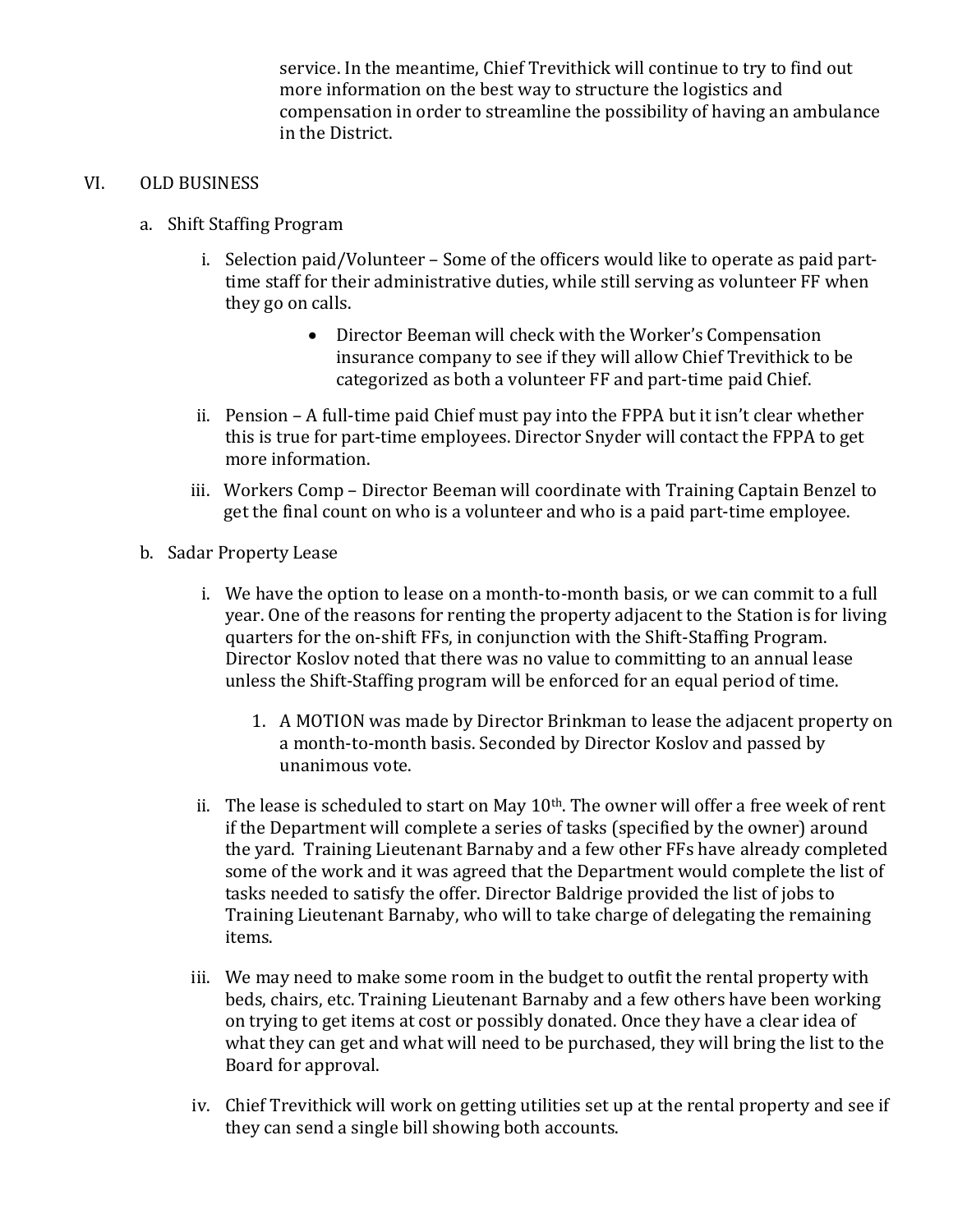service. In the meantime, Chief Trevithick will continue to try to find out more information on the best way to structure the logistics and compensation in order to streamline the possibility of having an ambulance in the District.

### VI. OLD BUSINESS

- a. Shift Staffing Program
	- i. Selection paid/Volunteer Some of the officers would like to operate as paid parttime staff for their administrative duties, while still serving as volunteer FF when they go on calls.
		- Director Beeman will check with the Worker's Compensation insurance company to see if they will allow Chief Trevithick to be categorized as both a volunteer FF and part-time paid Chief.
	- ii. Pension  $-A$  full-time paid Chief must pay into the FPPA but it isn't clear whether this is true for part-time employees. Director Snyder will contact the FPPA to get more information.
	- iii. Workers Comp Director Beeman will coordinate with Training Captain Benzel to get the final count on who is a volunteer and who is a paid part-time employee.
- b. Sadar Property Lease
	- i. We have the option to lease on a month-to-month basis, or we can commit to a full year. One of the reasons for renting the property adjacent to the Station is for living quarters for the on-shift FFs, in conjunction with the Shift-Staffing Program. Director Koslov noted that there was no value to committing to an annual lease unless the Shift-Staffing program will be enforced for an equal period of time.
		- 1. A MOTION was made by Director Brinkman to lease the adjacent property on a month-to-month basis. Seconded by Director Koslov and passed by unanimous vote.
	- ii. The lease is scheduled to start on May  $10<sup>th</sup>$ . The owner will offer a free week of rent if the Department will complete a series of tasks (specified by the owner) around the vard. Training Lieutenant Barnaby and a few other FFs have already completed some of the work and it was agreed that the Department would complete the list of tasks needed to satisfy the offer. Director Baldrige provided the list of jobs to Training Lieutenant Barnaby, who will to take charge of delegating the remaining items.
	- iii. We may need to make some room in the budget to outfit the rental property with beds, chairs, etc. Training Lieutenant Barnaby and a few others have been working on trying to get items at cost or possibly donated. Once they have a clear idea of what they can get and what will need to be purchased, they will bring the list to the Board for approval.
	- iv. Chief Trevithick will work on getting utilities set up at the rental property and see if they can send a single bill showing both accounts.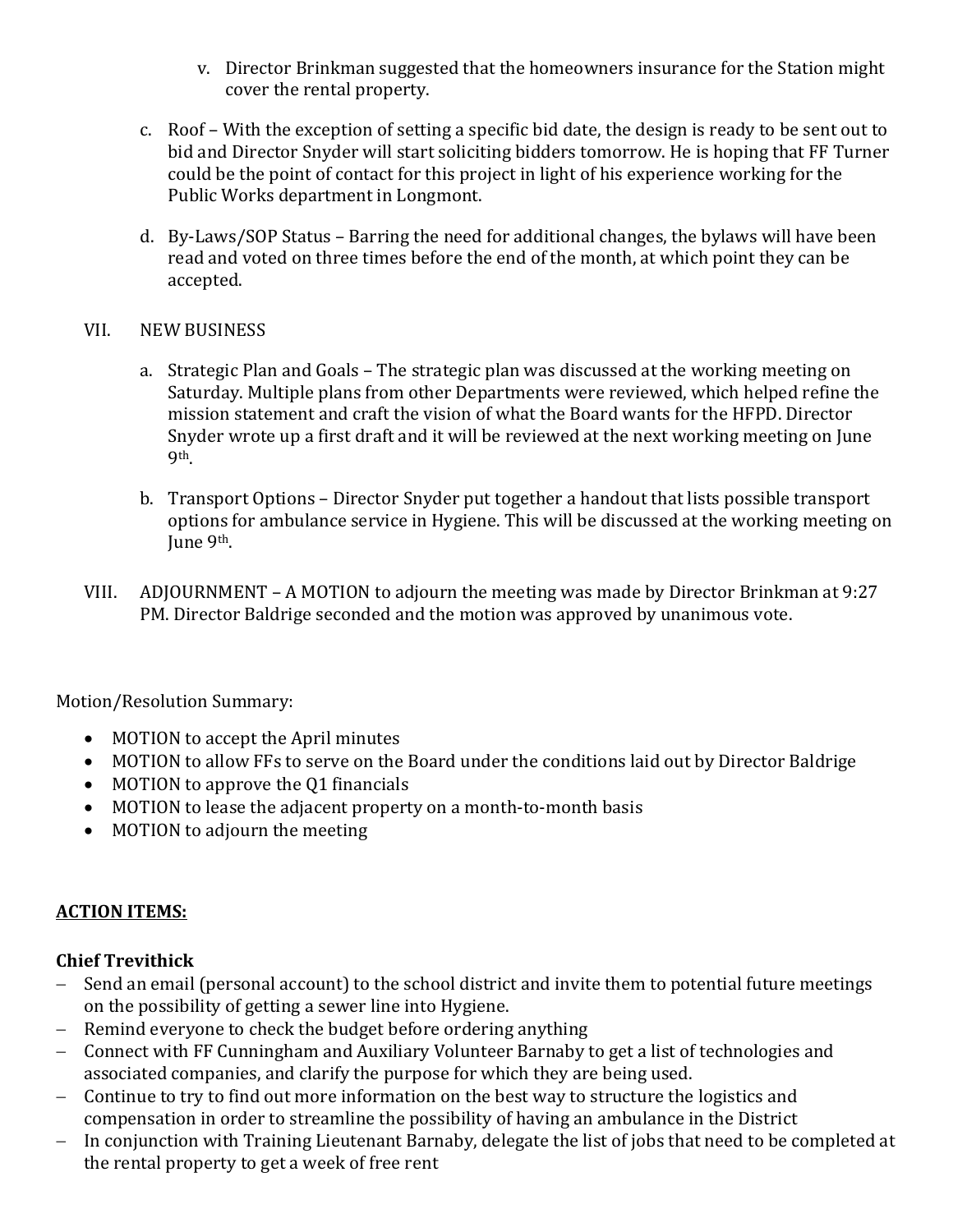- v. Director Brinkman suggested that the homeowners insurance for the Station might cover the rental property.
- c. Roof With the exception of setting a specific bid date, the design is ready to be sent out to bid and Director Snyder will start soliciting bidders tomorrow. He is hoping that FF Turner could be the point of contact for this project in light of his experience working for the Public Works department in Longmont.
- d. By-Laws/SOP Status Barring the need for additional changes, the bylaws will have been read and voted on three times before the end of the month, at which point they can be accepted.

### VII. NEW BUSINESS

- a. Strategic Plan and Goals The strategic plan was discussed at the working meeting on Saturday. Multiple plans from other Departments were reviewed, which helped refine the mission statement and craft the vision of what the Board wants for the HFPD. Director Snyder wrote up a first draft and it will be reviewed at the next working meeting on June 9th.
- b. Transport Options Director Snyder put together a handout that lists possible transport options for ambulance service in Hygiene. This will be discussed at the working meeting on June 9<sup>th</sup>.
- VIII. ADJOURNMENT A MOTION to adjourn the meeting was made by Director Brinkman at 9:27 PM. Director Baldrige seconded and the motion was approved by unanimous vote.

Motion/Resolution Summary:

- MOTION to accept the April minutes
- MOTION to allow FFs to serve on the Board under the conditions laid out by Director Baldrige
- MOTION to approve the Q1 financials
- MOTION to lease the adjacent property on a month-to-month basis
- MOTION to adjourn the meeting

### **ACTION ITEMS:**

### **Chief Trevithick**

- Send an email (personal account) to the school district and invite them to potential future meetings on the possibility of getting a sewer line into Hygiene.
- $-$  Remind everyone to check the budget before ordering anything
- Connect with FF Cunningham and Auxiliary Volunteer Barnaby to get a list of technologies and associated companies, and clarify the purpose for which they are being used.
- Continue to try to find out more information on the best way to structure the logistics and compensation in order to streamline the possibility of having an ambulance in the District
- In conjunction with Training Lieutenant Barnaby, delegate the list of jobs that need to be completed at the rental property to get a week of free rent